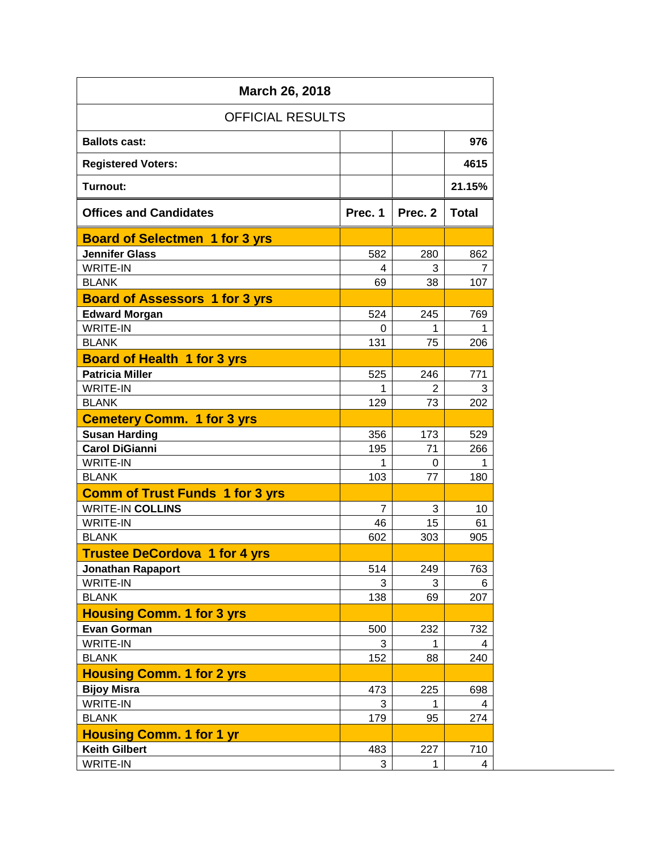| March 26, 2018                         |                |                |              |  |  |  |  |  |
|----------------------------------------|----------------|----------------|--------------|--|--|--|--|--|
| <b>OFFICIAL RESULTS</b>                |                |                |              |  |  |  |  |  |
| <b>Ballots cast:</b>                   |                |                | 976          |  |  |  |  |  |
| <b>Registered Voters:</b>              |                |                | 4615         |  |  |  |  |  |
| <b>Turnout:</b>                        |                |                | 21.15%       |  |  |  |  |  |
| <b>Offices and Candidates</b>          | Prec. 1        | Prec. 2        | <b>Total</b> |  |  |  |  |  |
| <b>Board of Selectmen 1 for 3 yrs</b>  |                |                |              |  |  |  |  |  |
| <b>Jennifer Glass</b>                  | 582            | 280            | 862          |  |  |  |  |  |
| <b>WRITE-IN</b>                        | 4              | 3              | 7            |  |  |  |  |  |
| <b>BLANK</b>                           | 69             | 38             | 107          |  |  |  |  |  |
| <b>Board of Assessors 1 for 3 yrs</b>  |                |                |              |  |  |  |  |  |
| <b>Edward Morgan</b>                   | 524            | 245            | 769          |  |  |  |  |  |
| <b>WRITE-IN</b>                        | 0              | 1              | 1            |  |  |  |  |  |
| <b>BLANK</b>                           | 131            | 75             | 206          |  |  |  |  |  |
| <b>Board of Health 1 for 3 yrs</b>     |                |                |              |  |  |  |  |  |
| <b>Patricia Miller</b>                 | 525            | 246            | 771          |  |  |  |  |  |
| <b>WRITE-IN</b>                        | 1              | $\overline{2}$ | 3            |  |  |  |  |  |
| <b>BLANK</b>                           | 129            | 73             | 202          |  |  |  |  |  |
| <b>Cemetery Comm. 1 for 3 yrs</b>      |                |                |              |  |  |  |  |  |
| <b>Susan Harding</b>                   | 356            | 173            | 529          |  |  |  |  |  |
| <b>Carol DiGianni</b>                  | 195            | 71             | 266          |  |  |  |  |  |
| <b>WRITE-IN</b>                        | 1              | 0              | 1            |  |  |  |  |  |
| <b>BLANK</b>                           | 103            | 77             | 180          |  |  |  |  |  |
| <b>Comm of Trust Funds 1 for 3 yrs</b> |                |                |              |  |  |  |  |  |
| <b>WRITE-IN COLLINS</b>                | $\overline{7}$ | 3              | 10           |  |  |  |  |  |
| <b>WRITE-IN</b>                        | 46             | 15             | 61           |  |  |  |  |  |
| <b>BLANK</b>                           | 602            | 303            | 905          |  |  |  |  |  |
| <b>Trustee DeCordova 1 for 4 yrs</b>   |                |                |              |  |  |  |  |  |
| <b>Jonathan Rapaport</b>               | 514            | 249            | 763          |  |  |  |  |  |
| <b>WRITE-IN</b>                        | 3              | 3              | 6            |  |  |  |  |  |
| <b>BLANK</b>                           | 138            | 69             | 207          |  |  |  |  |  |
| <b>Housing Comm. 1 for 3 yrs</b>       |                |                |              |  |  |  |  |  |
| <b>Evan Gorman</b>                     | 500            | 232            | 732          |  |  |  |  |  |
| <b>WRITE-IN</b>                        | 3              | 1              | 4            |  |  |  |  |  |
| <b>BLANK</b>                           | 152            | 88             | 240          |  |  |  |  |  |
| <b>Housing Comm. 1 for 2 yrs</b>       |                |                |              |  |  |  |  |  |
| <b>Bijoy Misra</b>                     | 473            | 225            | 698          |  |  |  |  |  |
| <b>WRITE-IN</b>                        | 3              | 1              | 4            |  |  |  |  |  |
| <b>BLANK</b>                           | 179            | 95             | 274          |  |  |  |  |  |
| <b>Housing Comm. 1 for 1 yr</b>        |                |                |              |  |  |  |  |  |
| <b>Keith Gilbert</b>                   | 483            | 227            | 710          |  |  |  |  |  |
| WRITE-IN                               | 3              | 1              | 4            |  |  |  |  |  |
|                                        |                |                |              |  |  |  |  |  |